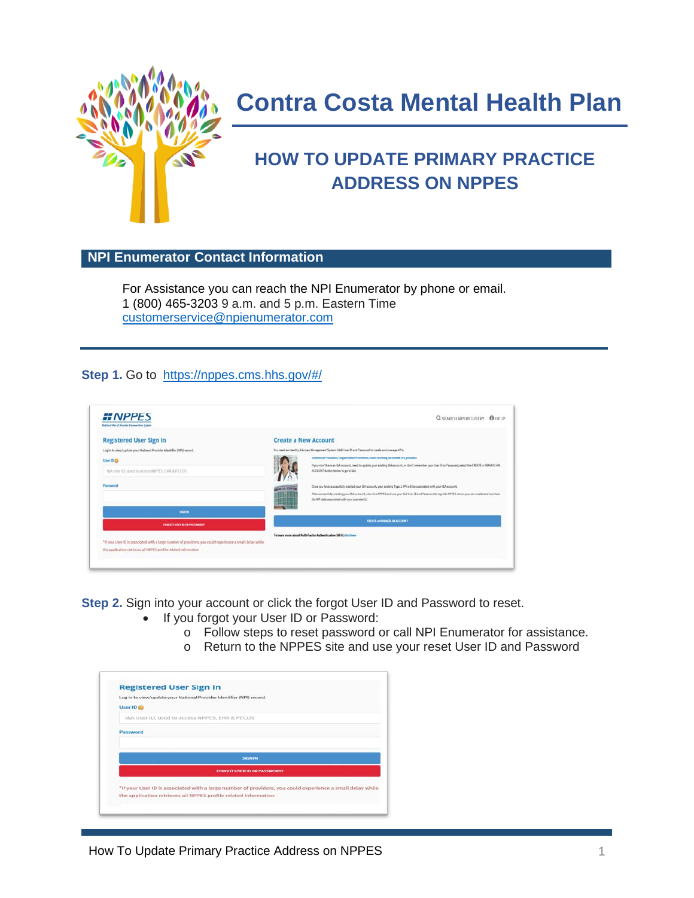

# **Contra Costa Mental Health Plan**

# **HOW TO UPDATE PRIMARY PRACTICE ADDRESS ON NPPES**

# **NPI Enumerator Contact Information**

For Assistance you can reach the NPI Enumerator by phone or email. 1 (800) 465-3203 9 a.m. and 5 p.m. Eastern Time [customerservice@npienumerator.com](mailto:customerservice@npienumerator.com)

#### **Step 1.** Go to <https://nppes.cms.hhs.gov/#/>

| <b><i>HNPPES</i></b><br>Satural Mar & Provider Enumeration System                                         | <b>Q SEARCH NPI REGISTRY</b>                                                                                                                                                                                       | <b>O</b> HELP |  |
|-----------------------------------------------------------------------------------------------------------|--------------------------------------------------------------------------------------------------------------------------------------------------------------------------------------------------------------------|---------------|--|
| <b>Registered User Sign In</b>                                                                            | <b>Create a New Account</b>                                                                                                                                                                                        |               |  |
| Log in to view/update your National Provider Identifier (NPI) record.                                     | You need an identity & Access Management System (6.4) User @ and Pessaged to create and manage MPs.                                                                                                                |               |  |
| User 10 <sub>0</sub>                                                                                      | Individual Providers, Organization Providers, Users working on behalf of a provider                                                                                                                                |               |  |
| MA User ID, used to access NPPES, EHR & PECOS                                                             | If you don't have an IDA account, need to update your existing IDA account, or don't remember your User ID or Passoons), select the CREATE or NANASE AN<br>ACCOUNT button below to go to IAA.                      |               |  |
| Password                                                                                                  | Once you have auccessfully created your l&A account, your existing Type 1 NPI will be associated with your I&A account.<br><b>STACAL CENTIS</b>                                                                    |               |  |
|                                                                                                           | 田田<br>After successfully creating your life account, return to NPPES and use your life Liver 10 and Password to log into NPPES where you can create and maintain<br>the NPI data associated with your previder(s). |               |  |
| <b>SIGN IN</b>                                                                                            |                                                                                                                                                                                                                    |               |  |
| FORGOT SPERIE OR PASSAGERS                                                                                | CREATE IN NANAGE AN ACCOUNT                                                                                                                                                                                        |               |  |
|                                                                                                           | To bearn more about Multi-Factor Authordication (MFA) click have                                                                                                                                                   |               |  |
| "If your User ID is associated with a large number of providers, you could experience a small delay while |                                                                                                                                                                                                                    |               |  |
| the application retrieves all NPPES profile related information                                           |                                                                                                                                                                                                                    |               |  |

**Step 2.** Sign into your account or click the forgot User ID and Password to reset.

- If you forgot your User ID or Password:
	- o Follow steps to reset password or call NPI Enumerator for assistance.
	- o Return to the NPPES site and use your reset User ID and Password

|                      | <b>Registered User Sign In</b>                                                                            |
|----------------------|-----------------------------------------------------------------------------------------------------------|
|                      | Log in to view/update your National Provider Identifier (NPI) record.                                     |
| User ID <sub>6</sub> |                                                                                                           |
|                      | I&A User ID, used to access NPPES, EHR & PECOS                                                            |
| Password             |                                                                                                           |
|                      |                                                                                                           |
|                      |                                                                                                           |
|                      | <b>SHON IN</b>                                                                                            |
|                      | FORGOT USER ID OR PASSWORD?                                                                               |
|                      | *If your User ID is associated with a large number of providers, you could experience a small delay while |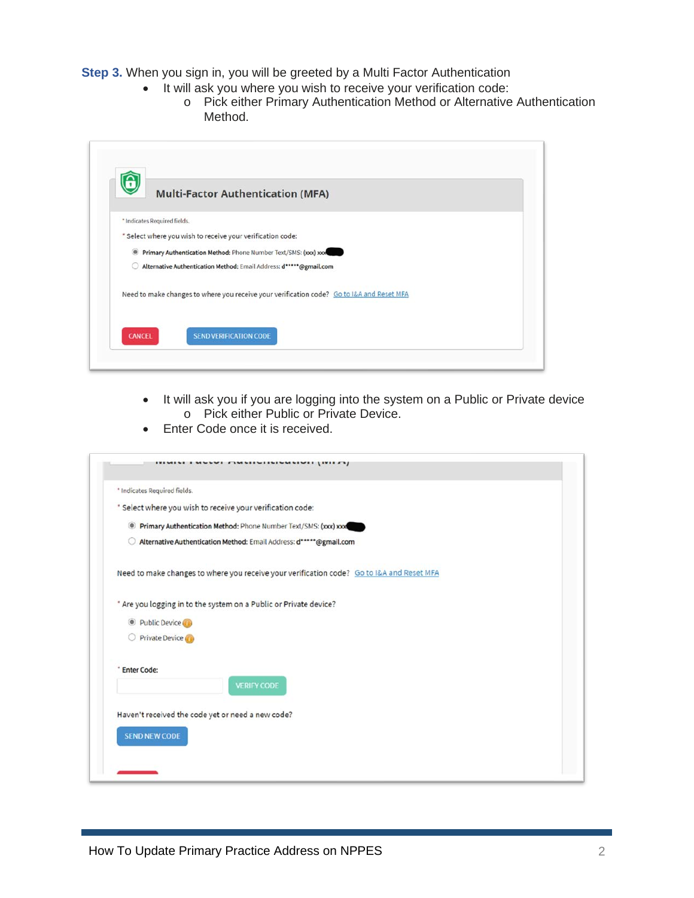**Step 3.** When you sign in, you will be greeted by a Multi Factor Authentication

- It will ask you where you wish to receive your verification code:
	- o Pick either Primary Authentication Method or Alternative Authentication Method.

| π                            | <b>Multi-Factor Authentication (MFA)</b>                                                  |  |
|------------------------------|-------------------------------------------------------------------------------------------|--|
| * Indicates Required fields. |                                                                                           |  |
|                              | * Select where you wish to receive your verification code:                                |  |
|                              | Primary Authentication Method: Phone Number Text/SMS: (xxx) xxx                           |  |
|                              | Alternative Authentication Method: Email Address: d*****@gmail.com                        |  |
|                              | Need to make changes to where you receive your verification code? Go to I&A and Reset MFA |  |
|                              |                                                                                           |  |

- It will ask you if you are logging into the system on a Public or Private device o Pick either Public or Private Device.
- Enter Code once it is received.

| * Indicates Required fields. |                                                                                           |  |
|------------------------------|-------------------------------------------------------------------------------------------|--|
|                              | * Select where you wish to receive your verification code:                                |  |
|                              | Primary Authentication Method: Phone Number Text/SMS: (xxx) xxx                           |  |
|                              | Alternative Authentication Method: Email Address: d*****@gmail.com                        |  |
|                              | Need to make changes to where you receive your verification code? Go to I&A and Reset MFA |  |
|                              | * Are you logging in to the system on a Public or Private device?                         |  |
| Public Device                |                                                                                           |  |
| O Private Device             |                                                                                           |  |
| <b>Enter Code:</b>           | <b>VERIFY CODE</b>                                                                        |  |
|                              | Haven't received the code yet or need a new code?                                         |  |
| <b>SEND NEW CODE</b>         |                                                                                           |  |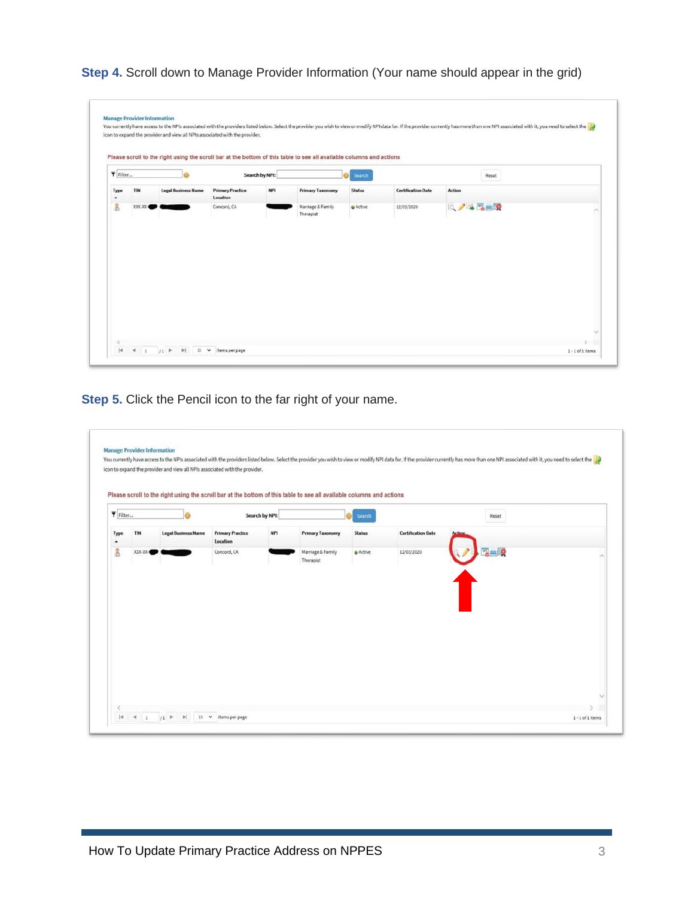**Step 4.** Scroll down to Manage Provider Information (Your name should appear in the grid)

| Filter                      |     |                            |                                     | Search by NPI: |                         | Search |                           | Reset          |  |
|-----------------------------|-----|----------------------------|-------------------------------------|----------------|-------------------------|--------|---------------------------|----------------|--|
| Type<br>$\hat{\phantom{a}}$ | TIN | <b>Legal Business Name</b> | <b>Primary Practice</b><br>Location | <b>NPI</b>     | <b>Primary Taxonomy</b> | Status | <b>Certification Date</b> | <b>Action</b>  |  |
| 8                           |     |                            |                                     |                | Therapist               |        |                           | <b>14745-0</b> |  |

**Step 5.** Click the Pencil icon to the far right of your name.

| Filter    |         |                            |                                     | Search by NPI: |                                | Search        |                           | Reset         |  |
|-----------|---------|----------------------------|-------------------------------------|----------------|--------------------------------|---------------|---------------------------|---------------|--|
| Type<br>٠ | TIN     | <b>Legal Business Name</b> | <b>Primary Practice</b><br>Location | <b>NPI</b>     | <b>Primary Taxonomy</b>        | <b>Status</b> | <b>Certification Date</b> | <b>Action</b> |  |
| å         | XXX-XX- |                            | Concord, CA                         |                | Marriage & Family<br>Therapist | & Active      | 12/03/2020                |               |  |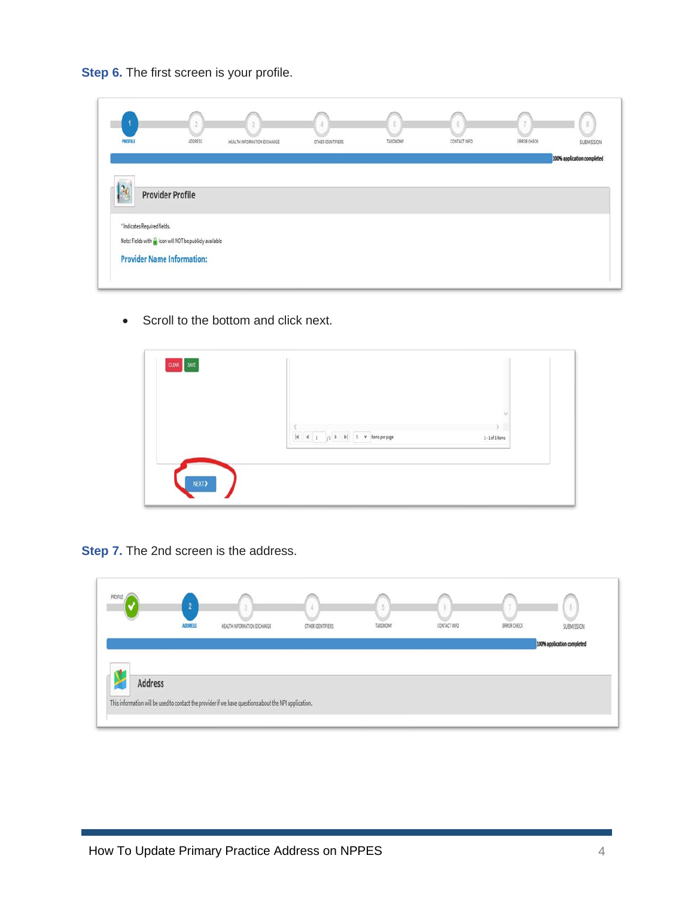**Step 6.** The first screen is your profile.

|                              | 2                                                                                              | 31                          |                   | 5        | 8            |             | 8                          |
|------------------------------|------------------------------------------------------------------------------------------------|-----------------------------|-------------------|----------|--------------|-------------|----------------------------|
| PROFILE                      | ADDRESS                                                                                        | HEALTH INFORMATION EXCHANGE | OTHER IDENTIFIERS | TAXONOMY | CONTACT INFO | ERROR CHECK | SUBMISSION                 |
|                              |                                                                                                |                             |                   |          |              |             | 100% application completed |
|                              |                                                                                                |                             |                   |          |              |             |                            |
| 20                           | <b>Provider Profile</b>                                                                        |                             |                   |          |              |             |                            |
|                              |                                                                                                |                             |                   |          |              |             |                            |
|                              |                                                                                                |                             |                   |          |              |             |                            |
|                              |                                                                                                |                             |                   |          |              |             |                            |
| * Indicates Required fields. |                                                                                                |                             |                   |          |              |             |                            |
|                              | Note: Fields with the icon will NOT be publicly available<br><b>Provider Name Information:</b> |                             |                   |          |              |             |                            |

• Scroll to the bottom and click next.



**Step 7.** The 2nd screen is the address.

| PROFILE |                |                                                                                                       |                   |          |              |             |                            |
|---------|----------------|-------------------------------------------------------------------------------------------------------|-------------------|----------|--------------|-------------|----------------------------|
|         | <b>ADDRESS</b> | HEALTH INFORMATION EXCHANGE                                                                           | OTHER IDENTIFIERS | TAXONOMY | CONTACT INFO | ERROR CHECK | SUBMISSION                 |
|         |                |                                                                                                       |                   |          |              |             | 100% application completed |
|         |                |                                                                                                       |                   |          |              |             |                            |
|         |                |                                                                                                       |                   |          |              |             |                            |
| Address |                |                                                                                                       |                   |          |              |             |                            |
|         |                |                                                                                                       |                   |          |              |             |                            |
|         |                | This information will be used to contact the provider if we have questions about the NPI application. |                   |          |              |             |                            |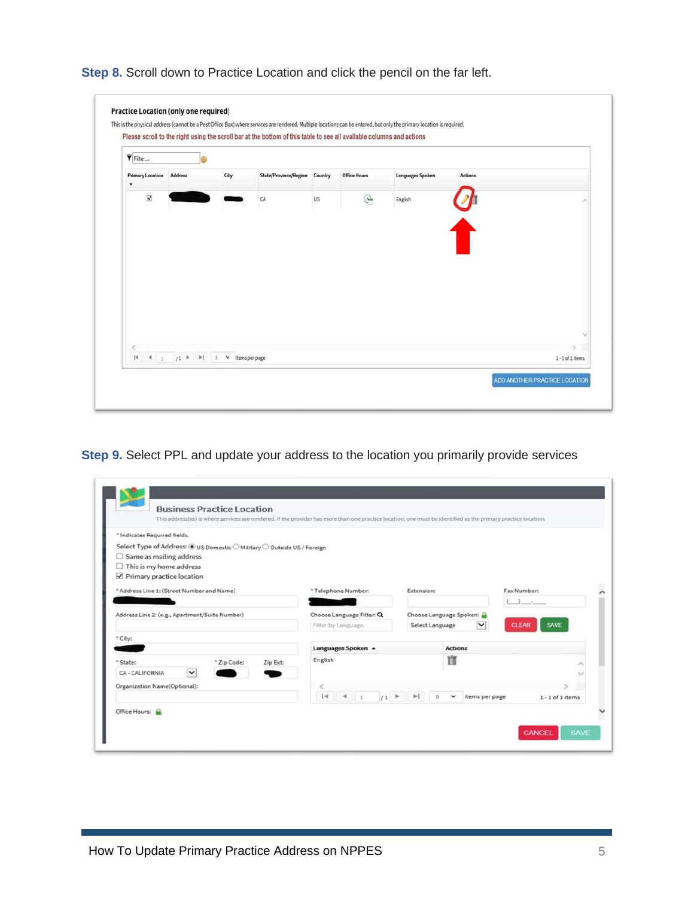



**Step 9.** Select PPL and update your address to the location you primarily provide services

| * Indicates Required fields.                                            |                           |                                        |                             |
|-------------------------------------------------------------------------|---------------------------|----------------------------------------|-----------------------------|
| Select Type of Address: @ US Domestic O Military O Outside US / Foreign |                           |                                        |                             |
| Same as mailing address<br>u                                            |                           |                                        |                             |
| $\Box$ This is my home address                                          |                           |                                        |                             |
| Primary practice location                                               |                           |                                        |                             |
| * Address Line 1: (Street Number and Name)                              | * Telephone Number:       | Extension:                             | Fax Number:                 |
|                                                                         |                           |                                        |                             |
| Address Line 2: (e.g., Apartment/Suite Number)                          | Choose Language Filter: Q | Choose Language Spoken:                |                             |
|                                                                         | Filter by Language.       | Select Language<br>$\checkmark$        | <b>SAVE</b><br><b>CLEAR</b> |
| * City:                                                                 |                           |                                        |                             |
|                                                                         | Languages Spoken A        | <b>Actions</b>                         |                             |
| * Zip Code:<br>Zip Ext:<br>* State:                                     | English                   | m                                      |                             |
| $\check{ }$<br>CA-CALIFORNIA                                            |                           |                                        |                             |
|                                                                         |                           |                                        |                             |
| Organization Name(Optional):                                            |                           | $\mathbb{H}$<br>$\leq$<br>$\checkmark$ |                             |
|                                                                         | $ 4$ $4$ 1<br>$1^{\circ}$ | items per page                         | $1 - 1$ of 1 items          |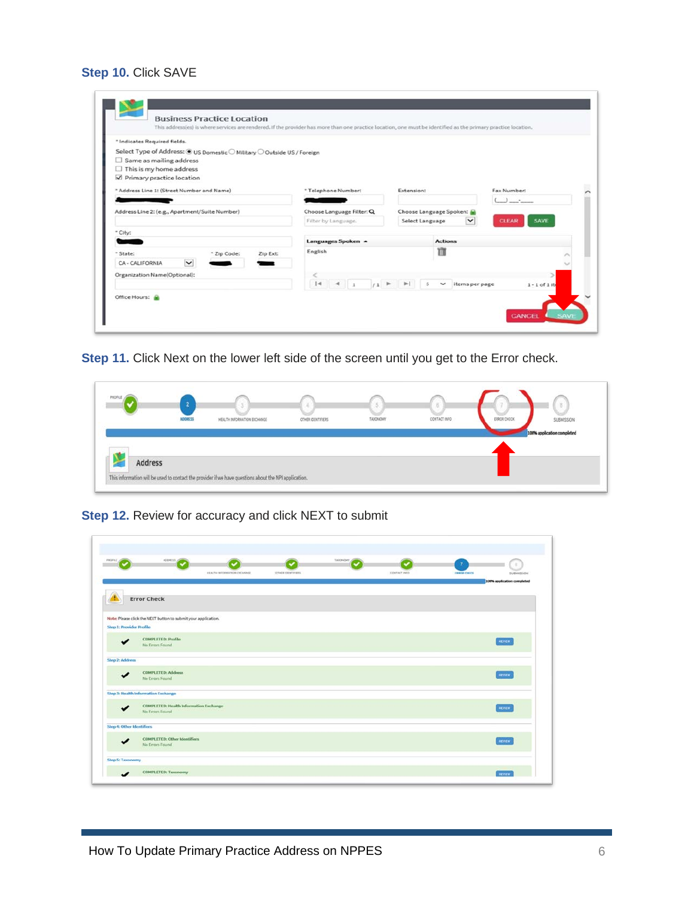# **Step 10.** Click SAVE

c

| * Indicates Required fields.                                            |                                             |                                                                 |                             |
|-------------------------------------------------------------------------|---------------------------------------------|-----------------------------------------------------------------|-----------------------------|
| Select Type of Address: @ US Domestic O Military O Outside US / Foreign |                                             |                                                                 |                             |
| $\Box$ Same as mailing address                                          |                                             |                                                                 |                             |
| $\Box$ This is my home address                                          |                                             |                                                                 |                             |
| Primary practice location                                               |                                             |                                                                 |                             |
| * Address Line 1: (Street Number and Name)                              | * Telephone Number:                         | Extension:                                                      | Fax Number:                 |
|                                                                         |                                             |                                                                 | $\overline{1}$              |
| Address Line 2: (e.g., Apartment/Suite Number)                          | Choose Language Filter: Q                   | Choose Language Spoken:                                         |                             |
|                                                                         | Filter by Language.                         | $\check{~}$<br>Select Language                                  | <b>SAVE</b><br><b>CLEAR</b> |
| * City:                                                                 |                                             |                                                                 |                             |
|                                                                         | Languages Spoken A                          | <b>Actions</b>                                                  |                             |
| * Zip Code:<br>Zip Ext:<br>* State:                                     | English                                     | TT                                                              |                             |
| $\check{ }$<br>CA - CALIFORNIA                                          |                                             |                                                                 |                             |
| Organization Name(Optional):                                            |                                             |                                                                 |                             |
|                                                                         | $ 4 $ $ 4 $ 1<br>$11$ $\blacktriangleright$ | $\blacktriangleright$<br>$\mathbf{s}$<br>$\vee$ litems per page | $1 - 1$ of $1$ it           |
|                                                                         |                                             |                                                                 |                             |

**Step 11.** Click Next on the lower left side of the screen until you get to the Error check.

| SUBMISSION<br>CONTACT INFO<br>ERROR CHECK<br>TAXIONOMY<br>ADDNESS<br>HEALTH INFORMATION EXCHANGE<br>OTHER IDENTIFIERS<br>100% application completed |
|-----------------------------------------------------------------------------------------------------------------------------------------------------|
|                                                                                                                                                     |
|                                                                                                                                                     |

**Step 12.** Review for accuracy and click NEXT to submit

| PROFILE                         | ADDRESS<br>HEALTH INFORMATION EXCHANGE                         | OTHER OENTIFIERS. | <b>TAXOFICHET</b> | CONTACT INFO | <b>EBROW CHECK</b> | <b>SUBMISSION</b>          |
|---------------------------------|----------------------------------------------------------------|-------------------|-------------------|--------------|--------------------|----------------------------|
|                                 |                                                                |                   |                   |              |                    | 100% application completed |
|                                 |                                                                |                   |                   |              |                    |                            |
|                                 | <b>Error Check</b>                                             |                   |                   |              |                    |                            |
|                                 |                                                                |                   |                   |              |                    |                            |
|                                 | Note: Please click the NEXT button to submit your application. |                   |                   |              |                    |                            |
| <b>Step 1: Provider Profile</b> |                                                                |                   |                   |              |                    |                            |
| $\cdot$                         | <b>COMPLETED: Profile</b>                                      |                   |                   |              |                    | REVIEW                     |
|                                 | No Errors Found                                                |                   |                   |              |                    |                            |
| Step 2: Address                 |                                                                |                   |                   |              |                    |                            |
|                                 | <b>COMPLETED: Address</b>                                      |                   |                   |              |                    | неми                       |
|                                 | No Errors Found                                                |                   |                   |              |                    |                            |
|                                 | Step 3: Health Information Exchange                            |                   |                   |              |                    |                            |
|                                 | <b>COMPLETED: Health Information Exchange</b>                  |                   |                   |              |                    | <b>REVIEW</b>              |
|                                 | No Errors Found                                                |                   |                   |              |                    |                            |
| Step 4: Other Identifiers       |                                                                |                   |                   |              |                    |                            |
|                                 | COMPLETED: Other Identifiers                                   |                   |                   |              |                    | REVEN                      |
|                                 | No Errors Found                                                |                   |                   |              |                    |                            |
| Step 5: Taxonomy                |                                                                |                   |                   |              |                    |                            |
|                                 |                                                                |                   |                   |              |                    |                            |